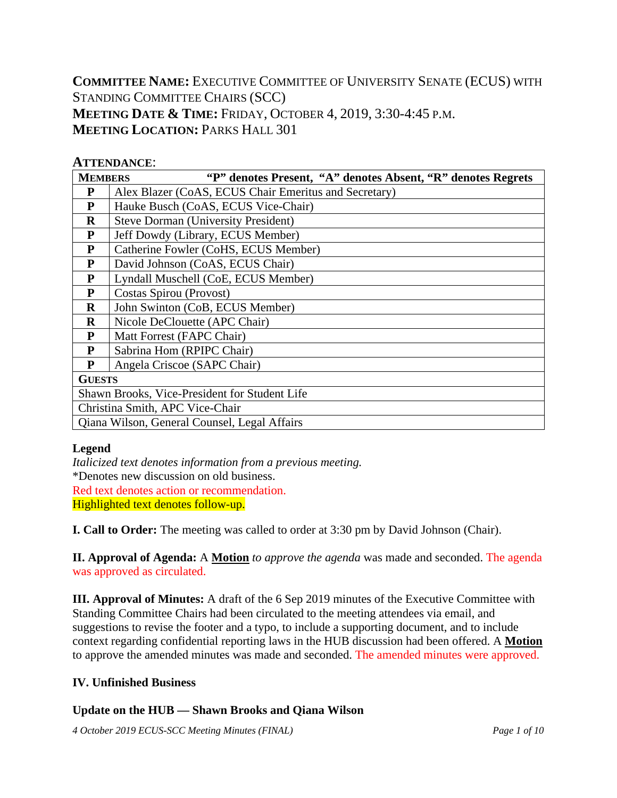**COMMITTEE NAME:** EXECUTIVE COMMITTEE OF UNIVERSITY SENATE (ECUS) WITH STANDING COMMITTEE CHAIRS (SCC) **MEETING DATE & TIME:** FRIDAY, OCTOBER 4, 2019, 3:30-4:45 P.M. **MEETING LOCATION: PARKS HALL 301** 

#### **ATTENDANCE**:

| "P" denotes Present, "A" denotes Absent, "R" denotes Regrets<br><b>MEMBERS</b> |                                                       |  |  |  |  |  |  |  |  |  |
|--------------------------------------------------------------------------------|-------------------------------------------------------|--|--|--|--|--|--|--|--|--|
| P                                                                              | Alex Blazer (CoAS, ECUS Chair Emeritus and Secretary) |  |  |  |  |  |  |  |  |  |
| P                                                                              | Hauke Busch (CoAS, ECUS Vice-Chair)                   |  |  |  |  |  |  |  |  |  |
| $\mathbf R$                                                                    | <b>Steve Dorman (University President)</b>            |  |  |  |  |  |  |  |  |  |
| P                                                                              | Jeff Dowdy (Library, ECUS Member)                     |  |  |  |  |  |  |  |  |  |
| P                                                                              | Catherine Fowler (CoHS, ECUS Member)                  |  |  |  |  |  |  |  |  |  |
| ${\bf P}$                                                                      | David Johnson (CoAS, ECUS Chair)                      |  |  |  |  |  |  |  |  |  |
| $\mathbf{P}$                                                                   | Lyndall Muschell (CoE, ECUS Member)                   |  |  |  |  |  |  |  |  |  |
| P                                                                              | Costas Spirou (Provost)                               |  |  |  |  |  |  |  |  |  |
| $\mathbf R$                                                                    | John Swinton (CoB, ECUS Member)                       |  |  |  |  |  |  |  |  |  |
| $\bf{R}$                                                                       | Nicole DeClouette (APC Chair)                         |  |  |  |  |  |  |  |  |  |
| P                                                                              | Matt Forrest (FAPC Chair)                             |  |  |  |  |  |  |  |  |  |
| P                                                                              | Sabrina Hom (RPIPC Chair)                             |  |  |  |  |  |  |  |  |  |
| P                                                                              | Angela Criscoe (SAPC Chair)                           |  |  |  |  |  |  |  |  |  |
| <b>GUESTS</b>                                                                  |                                                       |  |  |  |  |  |  |  |  |  |
|                                                                                | Shawn Brooks, Vice-President for Student Life         |  |  |  |  |  |  |  |  |  |
|                                                                                | Christina Smith, APC Vice-Chair                       |  |  |  |  |  |  |  |  |  |
|                                                                                | Qiana Wilson, General Counsel, Legal Affairs          |  |  |  |  |  |  |  |  |  |

#### **Legend**

*Italicized text denotes information from a previous meeting.* \*Denotes new discussion on old business. Red text denotes action or recommendation. Highlighted text denotes follow-up.

**I. Call to Order:** The meeting was called to order at 3:30 pm by David Johnson (Chair).

**II. Approval of Agenda:** A **Motion** *to approve the agenda* was made and seconded. The agenda was approved as circulated.

**III. Approval of Minutes:** A draft of the 6 Sep 2019 minutes of the Executive Committee with Standing Committee Chairs had been circulated to the meeting attendees via email, and suggestions to revise the footer and a typo, to include a supporting document, and to include context regarding confidential reporting laws in the HUB discussion had been offered. A **Motion** to approve the amended minutes was made and seconded. The amended minutes were approved.

#### **IV. Unfinished Business**

#### **Update on the HUB — Shawn Brooks and Qiana Wilson**

*4 October 2019 ECUS-SCC Meeting Minutes (FINAL) Page 1 of 10*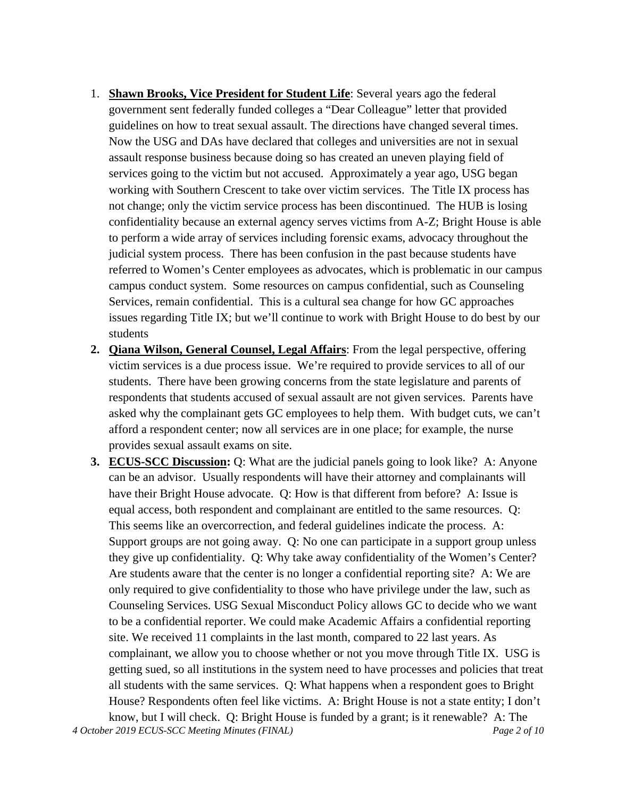- 1. **Shawn Brooks, Vice President for Student Life**: Several years ago the federal government sent federally funded colleges a "Dear Colleague" letter that provided guidelines on how to treat sexual assault. The directions have changed several times. Now the USG and DAs have declared that colleges and universities are not in sexual assault response business because doing so has created an uneven playing field of services going to the victim but not accused. Approximately a year ago, USG began working with Southern Crescent to take over victim services. The Title IX process has not change; only the victim service process has been discontinued. The HUB is losing confidentiality because an external agency serves victims from A-Z; Bright House is able to perform a wide array of services including forensic exams, advocacy throughout the judicial system process. There has been confusion in the past because students have referred to Women's Center employees as advocates, which is problematic in our campus campus conduct system. Some resources on campus confidential, such as Counseling Services, remain confidential. This is a cultural sea change for how GC approaches issues regarding Title IX; but we'll continue to work with Bright House to do best by our students
- **2. Qiana Wilson, General Counsel, Legal Affairs**: From the legal perspective, offering victim services is a due process issue. We're required to provide services to all of our students. There have been growing concerns from the state legislature and parents of respondents that students accused of sexual assault are not given services. Parents have asked why the complainant gets GC employees to help them. With budget cuts, we can't afford a respondent center; now all services are in one place; for example, the nurse provides sexual assault exams on site.
- *4 October 2019 ECUS-SCC Meeting Minutes (FINAL) Page 2 of 10* **3. ECUS-SCC Discussion:** Q: What are the judicial panels going to look like? A: Anyone can be an advisor. Usually respondents will have their attorney and complainants will have their Bright House advocate. Q: How is that different from before? A: Issue is equal access, both respondent and complainant are entitled to the same resources. Q: This seems like an overcorrection, and federal guidelines indicate the process. A: Support groups are not going away. Q: No one can participate in a support group unless they give up confidentiality. Q: Why take away confidentiality of the Women's Center? Are students aware that the center is no longer a confidential reporting site? A: We are only required to give confidentiality to those who have privilege under the law, such as Counseling Services. USG Sexual Misconduct Policy allows GC to decide who we want to be a confidential reporter. We could make Academic Affairs a confidential reporting site. We received 11 complaints in the last month, compared to 22 last years. As complainant, we allow you to choose whether or not you move through Title IX. USG is getting sued, so all institutions in the system need to have processes and policies that treat all students with the same services. Q: What happens when a respondent goes to Bright House? Respondents often feel like victims. A: Bright House is not a state entity; I don't know, but I will check. Q: Bright House is funded by a grant; is it renewable? A: The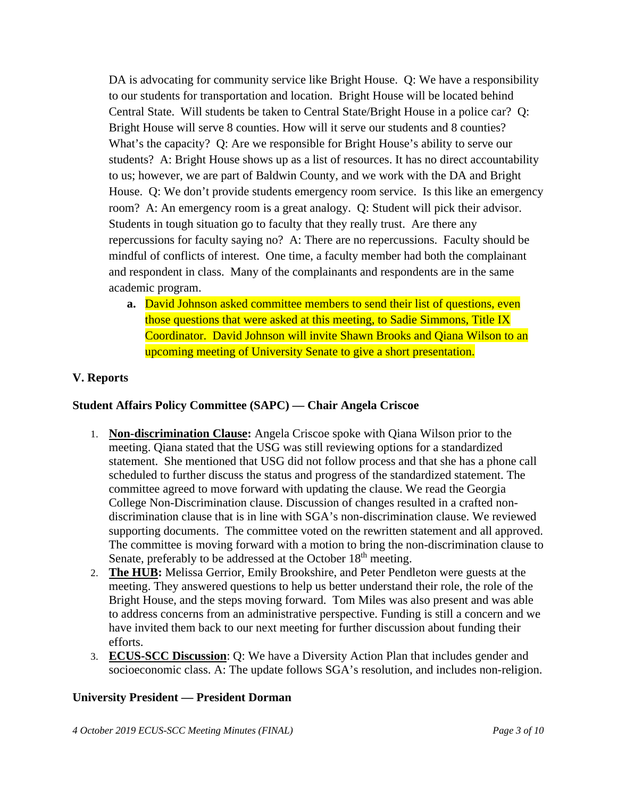DA is advocating for community service like Bright House. Q: We have a responsibility to our students for transportation and location. Bright House will be located behind Central State. Will students be taken to Central State/Bright House in a police car? Q: Bright House will serve 8 counties. How will it serve our students and 8 counties? What's the capacity? Q: Are we responsible for Bright House's ability to serve our students? A: Bright House shows up as a list of resources. It has no direct accountability to us; however, we are part of Baldwin County, and we work with the DA and Bright House. Q: We don't provide students emergency room service. Is this like an emergency room? A: An emergency room is a great analogy. Q: Student will pick their advisor. Students in tough situation go to faculty that they really trust. Are there any repercussions for faculty saying no? A: There are no repercussions. Faculty should be mindful of conflicts of interest. One time, a faculty member had both the complainant and respondent in class. Many of the complainants and respondents are in the same academic program.

**a.** David Johnson asked committee members to send their list of questions, even those questions that were asked at this meeting, to Sadie Simmons, Title IX Coordinator. David Johnson will invite Shawn Brooks and Qiana Wilson to an upcoming meeting of University Senate to give a short presentation.

#### **V. Reports**

#### **Student Affairs Policy Committee (SAPC) — Chair Angela Criscoe**

- 1. **Non-discrimination Clause:** Angela Criscoe spoke with Qiana Wilson prior to the meeting. Qiana stated that the USG was still reviewing options for a standardized statement. She mentioned that USG did not follow process and that she has a phone call scheduled to further discuss the status and progress of the standardized statement. The committee agreed to move forward with updating the clause. We read the Georgia College Non-Discrimination clause. Discussion of changes resulted in a crafted nondiscrimination clause that is in line with SGA's non-discrimination clause. We reviewed supporting documents. The committee voted on the rewritten statement and all approved. The committee is moving forward with a motion to bring the non-discrimination clause to Senate, preferably to be addressed at the October 18<sup>th</sup> meeting.
- 2. **The HUB:** Melissa Gerrior, Emily Brookshire, and Peter Pendleton were guests at the meeting. They answered questions to help us better understand their role, the role of the Bright House, and the steps moving forward. Tom Miles was also present and was able to address concerns from an administrative perspective. Funding is still a concern and we have invited them back to our next meeting for further discussion about funding their efforts.
- 3. **ECUS-SCC Discussion**: Q: We have a Diversity Action Plan that includes gender and socioeconomic class. A: The update follows SGA's resolution, and includes non-religion.

#### **University President — President Dorman**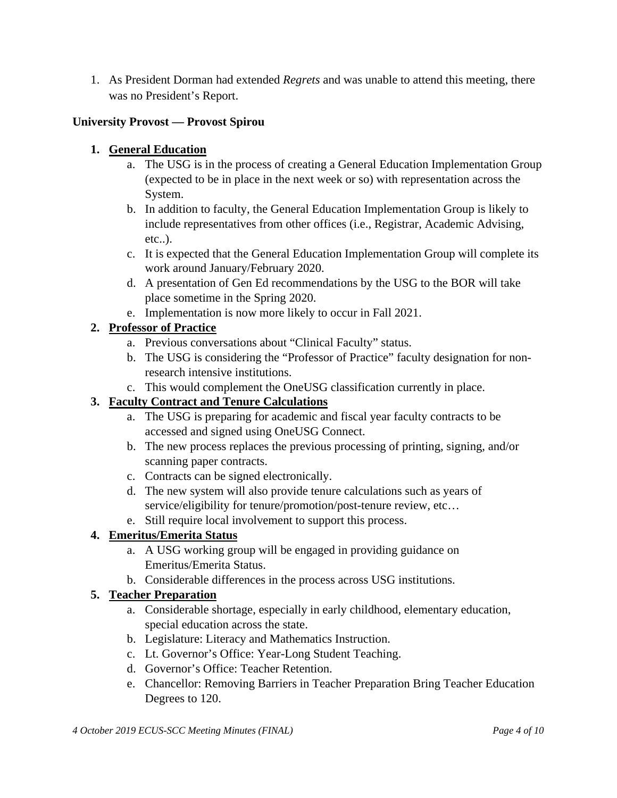1. As President Dorman had extended *Regrets* and was unable to attend this meeting, there was no President's Report.

# **University Provost — Provost Spirou**

# **1. General Education**

- a. The USG is in the process of creating a General Education Implementation Group (expected to be in place in the next week or so) with representation across the System.
- b. In addition to faculty, the General Education Implementation Group is likely to include representatives from other offices (i.e., Registrar, Academic Advising, etc..).
- c. It is expected that the General Education Implementation Group will complete its work around January/February 2020.
- d. A presentation of Gen Ed recommendations by the USG to the BOR will take place sometime in the Spring 2020.
- e. Implementation is now more likely to occur in Fall 2021.

# **2. Professor of Practice**

- a. Previous conversations about "Clinical Faculty" status.
- b. The USG is considering the "Professor of Practice" faculty designation for nonresearch intensive institutions.
- c. This would complement the OneUSG classification currently in place.

# **3. Faculty Contract and Tenure Calculations**

- a. The USG is preparing for academic and fiscal year faculty contracts to be accessed and signed using OneUSG Connect.
- b. The new process replaces the previous processing of printing, signing, and/or scanning paper contracts.
- c. Contracts can be signed electronically.
- d. The new system will also provide tenure calculations such as years of service/eligibility for tenure/promotion/post-tenure review, etc...
- e. Still require local involvement to support this process.

# **4. Emeritus/Emerita Status**

- a. A USG working group will be engaged in providing guidance on Emeritus/Emerita Status.
- b. Considerable differences in the process across USG institutions.

# **5. Teacher Preparation**

- a. Considerable shortage, especially in early childhood, elementary education, special education across the state.
- b. Legislature: Literacy and Mathematics Instruction.
- c. Lt. Governor's Office: Year-Long Student Teaching.
- d. Governor's Office: Teacher Retention.
- e. Chancellor: Removing Barriers in Teacher Preparation Bring Teacher Education Degrees to 120.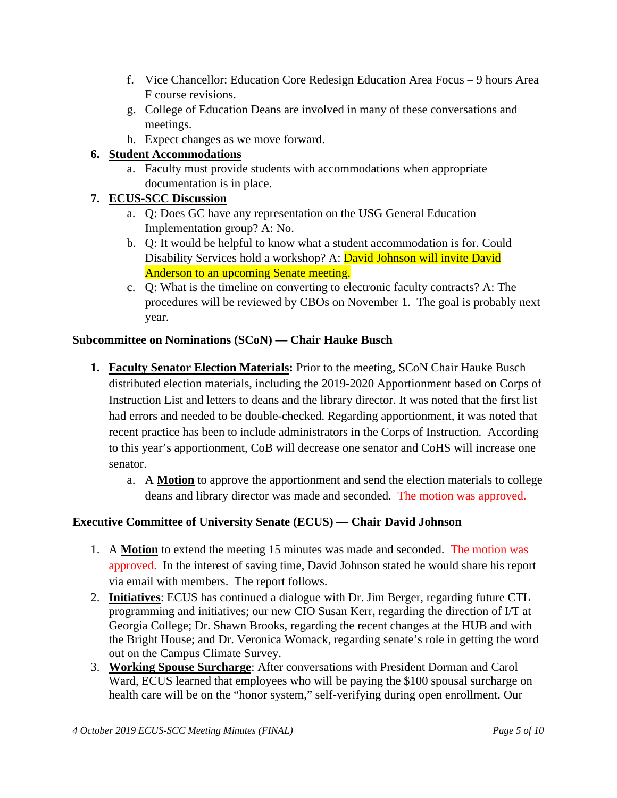- f. Vice Chancellor: Education Core Redesign Education Area Focus 9 hours Area F course revisions.
- g. College of Education Deans are involved in many of these conversations and meetings.
- h. Expect changes as we move forward.

# **6. Student Accommodations**

a. Faculty must provide students with accommodations when appropriate documentation is in place.

# **7. ECUS-SCC Discussion**

- a. Q: Does GC have any representation on the USG General Education Implementation group? A: No.
- b. Q: It would be helpful to know what a student accommodation is for. Could Disability Services hold a workshop? A: David Johnson will invite David Anderson to an upcoming Senate meeting.
- c. Q: What is the timeline on converting to electronic faculty contracts? A: The procedures will be reviewed by CBOs on November 1. The goal is probably next year.

# **Subcommittee on Nominations (SCoN) — Chair Hauke Busch**

- **1. Faculty Senator Election Materials:** Prior to the meeting, SCoN Chair Hauke Busch distributed election materials, including the 2019-2020 Apportionment based on Corps of Instruction List and letters to deans and the library director. It was noted that the first list had errors and needed to be double-checked. Regarding apportionment, it was noted that recent practice has been to include administrators in the Corps of Instruction. According to this year's apportionment, CoB will decrease one senator and CoHS will increase one senator.
	- a. A **Motion** to approve the apportionment and send the election materials to college deans and library director was made and seconded. The motion was approved.

# **Executive Committee of University Senate (ECUS) — Chair David Johnson**

- 1. A **Motion** to extend the meeting 15 minutes was made and seconded. The motion was approved. In the interest of saving time, David Johnson stated he would share his report via email with members. The report follows.
- 2. **Initiatives**: ECUS has continued a dialogue with Dr. Jim Berger, regarding future CTL programming and initiatives; our new CIO Susan Kerr, regarding the direction of I/T at Georgia College; Dr. Shawn Brooks, regarding the recent changes at the HUB and with the Bright House; and Dr. Veronica Womack, regarding senate's role in getting the word out on the Campus Climate Survey.
- 3. **Working Spouse Surcharge**: After conversations with President Dorman and Carol Ward, ECUS learned that employees who will be paying the \$100 spousal surcharge on health care will be on the "honor system," self-verifying during open enrollment. Our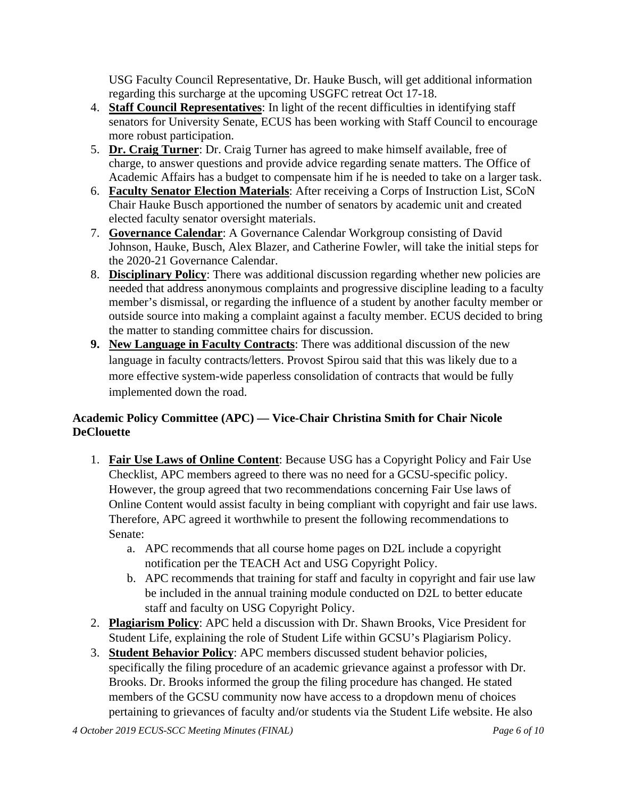USG Faculty Council Representative, Dr. Hauke Busch, will get additional information regarding this surcharge at the upcoming USGFC retreat Oct 17-18.

- 4. **Staff Council Representatives**: In light of the recent difficulties in identifying staff senators for University Senate, ECUS has been working with Staff Council to encourage more robust participation.
- 5. **Dr. Craig Turner**: Dr. Craig Turner has agreed to make himself available, free of charge, to answer questions and provide advice regarding senate matters. The Office of Academic Affairs has a budget to compensate him if he is needed to take on a larger task.
- 6. **Faculty Senator Election Materials**: After receiving a Corps of Instruction List, SCoN Chair Hauke Busch apportioned the number of senators by academic unit and created elected faculty senator oversight materials.
- 7. **Governance Calendar**: A Governance Calendar Workgroup consisting of David Johnson, Hauke, Busch, Alex Blazer, and Catherine Fowler, will take the initial steps for the 2020-21 Governance Calendar.
- 8. **Disciplinary Policy**: There was additional discussion regarding whether new policies are needed that address anonymous complaints and progressive discipline leading to a faculty member's dismissal, or regarding the influence of a student by another faculty member or outside source into making a complaint against a faculty member. ECUS decided to bring the matter to standing committee chairs for discussion.
- **9. New Language in Faculty Contracts**: There was additional discussion of the new language in faculty contracts/letters. Provost Spirou said that this was likely due to a more effective system-wide paperless consolidation of contracts that would be fully implemented down the road.

# **Academic Policy Committee (APC) — Vice-Chair Christina Smith for Chair Nicole DeClouette**

- 1. **Fair Use Laws of Online Content**: Because USG has a Copyright Policy and Fair Use Checklist, APC members agreed to there was no need for a GCSU-specific policy. However, the group agreed that two recommendations concerning Fair Use laws of Online Content would assist faculty in being compliant with copyright and fair use laws. Therefore, APC agreed it worthwhile to present the following recommendations to Senate:
	- a. APC recommends that all course home pages on D2L include a copyright notification per the TEACH Act and USG Copyright Policy.
	- b. APC recommends that training for staff and faculty in copyright and fair use law be included in the annual training module conducted on D2L to better educate staff and faculty on USG Copyright Policy.
- 2. **Plagiarism Policy**: APC held a discussion with Dr. Shawn Brooks, Vice President for Student Life, explaining the role of Student Life within GCSU's Plagiarism Policy.
- 3. **Student Behavior Policy**: APC members discussed student behavior policies, specifically the filing procedure of an academic grievance against a professor with Dr. Brooks. Dr. Brooks informed the group the filing procedure has changed. He stated members of the GCSU community now have access to a dropdown menu of choices pertaining to grievances of faculty and/or students via the Student Life website. He also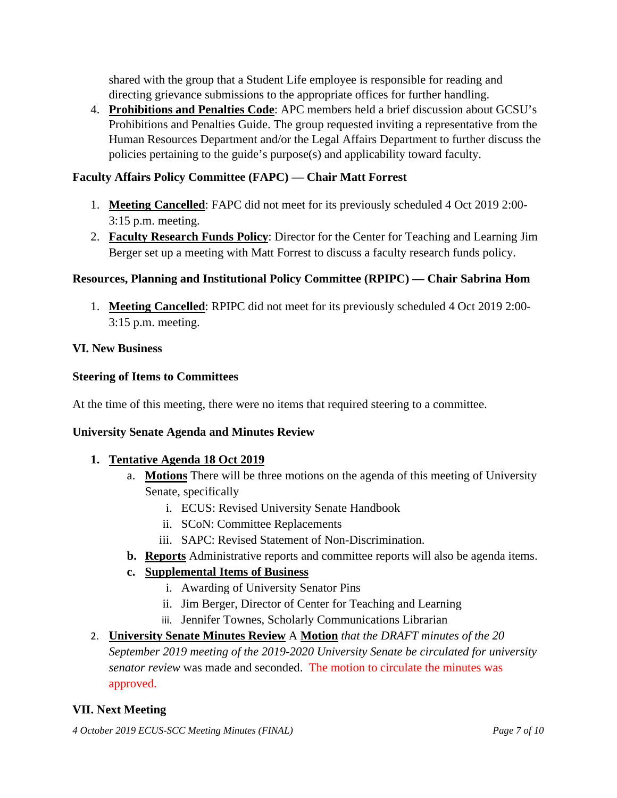shared with the group that a Student Life employee is responsible for reading and directing grievance submissions to the appropriate offices for further handling.

4. **Prohibitions and Penalties Code**: APC members held a brief discussion about GCSU's Prohibitions and Penalties Guide. The group requested inviting a representative from the Human Resources Department and/or the Legal Affairs Department to further discuss the policies pertaining to the guide's purpose(s) and applicability toward faculty.

# **Faculty Affairs Policy Committee (FAPC) — Chair Matt Forrest**

- 1. **Meeting Cancelled**: FAPC did not meet for its previously scheduled 4 Oct 2019 2:00- 3:15 p.m. meeting.
- 2. **Faculty Research Funds Policy**: Director for the Center for Teaching and Learning Jim Berger set up a meeting with Matt Forrest to discuss a faculty research funds policy.

# **Resources, Planning and Institutional Policy Committee (RPIPC) — Chair Sabrina Hom**

1. **Meeting Cancelled**: RPIPC did not meet for its previously scheduled 4 Oct 2019 2:00- 3:15 p.m. meeting.

#### **VI. New Business**

#### **Steering of Items to Committees**

At the time of this meeting, there were no items that required steering to a committee.

#### **University Senate Agenda and Minutes Review**

#### **1. Tentative Agenda 18 Oct 2019**

- a. **Motions** There will be three motions on the agenda of this meeting of University Senate, specifically
	- i. ECUS: Revised University Senate Handbook
	- ii. SCoN: Committee Replacements
	- iii. SAPC: Revised Statement of Non-Discrimination.
- **b. Reports** Administrative reports and committee reports will also be agenda items.

#### **c. Supplemental Items of Business**

- i. Awarding of University Senator Pins
- ii. Jim Berger, Director of Center for Teaching and Learning
- iii. Jennifer Townes, Scholarly Communications Librarian
- 2. **University Senate Minutes Review** A **Motion** *that the DRAFT minutes of the 20 September 2019 meeting of the 2019-2020 University Senate be circulated for university senator review* was made and seconded. The motion to circulate the minutes was approved.

#### **VII. Next Meeting**

*4 October 2019 ECUS-SCC Meeting Minutes (FINAL) Page 7 of 10*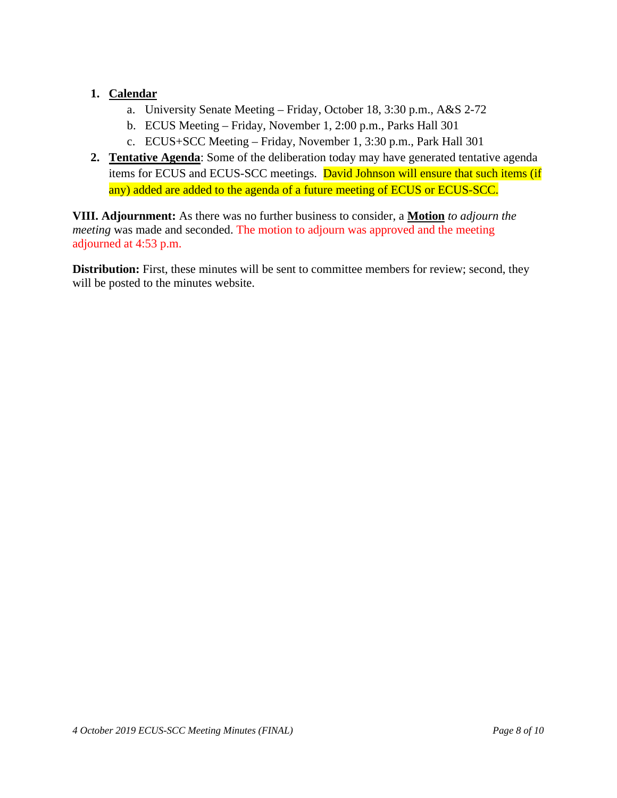# **1. Calendar**

- a. University Senate Meeting Friday, October 18, 3:30 p.m., A&S 2-72
- b. ECUS Meeting Friday, November 1, 2:00 p.m., Parks Hall 301
- c. ECUS+SCC Meeting Friday, November 1, 3:30 p.m., Park Hall 301
- **2. Tentative Agenda**: Some of the deliberation today may have generated tentative agenda items for ECUS and ECUS-SCC meetings. David Johnson will ensure that such items (if any) added are added to the agenda of a future meeting of ECUS or ECUS-SCC.

**VIII. Adjournment:** As there was no further business to consider, a **Motion** *to adjourn the meeting* was made and seconded. The motion to adjourn was approved and the meeting adjourned at 4:53 p.m.

**Distribution:** First, these minutes will be sent to committee members for review; second, they will be posted to the minutes website.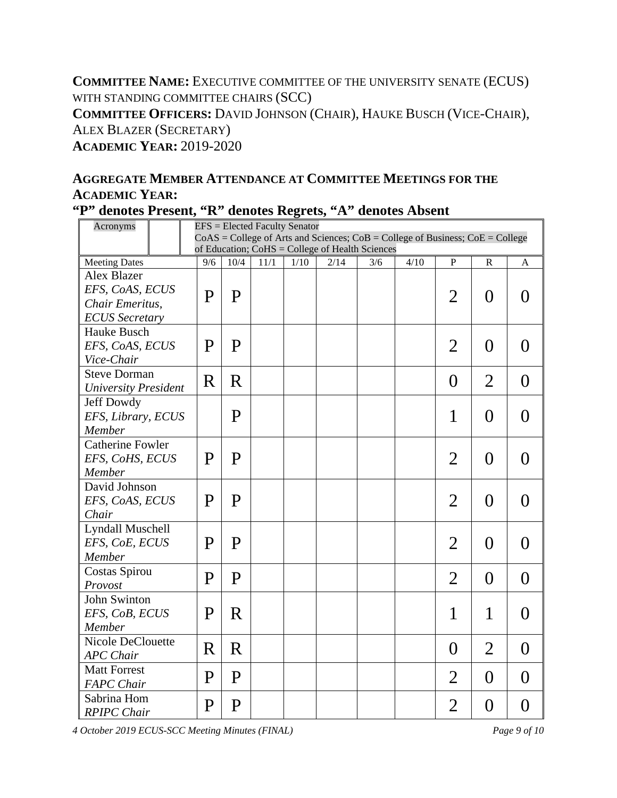**COMMITTEE NAME:** EXECUTIVE COMMITTEE OF THE UNIVERSITY SENATE (ECUS) WITH STANDING COMMITTEE CHAIRS (SCC) **COMMITTEE OFFICERS:** DAVID JOHNSON (CHAIR), HAUKE BUSCH (VICE-CHAIR), ALEX BLAZER (SECRETARY) **ACADEMIC YEAR:** 2019-2020

# **AGGREGATE MEMBER ATTENDANCE AT COMMITTEE MEETINGS FOR THE ACADEMIC YEAR:**

|  |  |  |  |  |  |  | "P" denotes Present, "R" denotes Regrets, "A" denotes Absent |  |
|--|--|--|--|--|--|--|--------------------------------------------------------------|--|
|--|--|--|--|--|--|--|--------------------------------------------------------------|--|

| Acronyms                    |                                                 | <b>EFS</b> = Elected Faculty Senator                                                |              |      |      |      |     |      |                |                  |                  |
|-----------------------------|-------------------------------------------------|-------------------------------------------------------------------------------------|--------------|------|------|------|-----|------|----------------|------------------|------------------|
|                             |                                                 | $CoAS = College$ of Arts and Sciences; $CoB = College$ of Business; $CoE = College$ |              |      |      |      |     |      |                |                  |                  |
|                             | of Education; CoHS = College of Health Sciences |                                                                                     |              |      |      |      |     |      |                |                  |                  |
| <b>Meeting Dates</b>        |                                                 | 9/6                                                                                 | 10/4         | 11/1 | 1/10 | 2/14 | 3/6 | 4/10 | P              | R                | A                |
| Alex Blazer                 |                                                 |                                                                                     |              |      |      |      |     |      |                |                  |                  |
| EFS, CoAS, ECUS             |                                                 | P                                                                                   | P            |      |      |      |     |      | $\overline{2}$ | $\left( \right)$ | $\left( \right)$ |
| Chair Emeritus,             |                                                 |                                                                                     |              |      |      |      |     |      |                |                  |                  |
| <b>ECUS</b> Secretary       |                                                 |                                                                                     |              |      |      |      |     |      |                |                  |                  |
| Hauke Busch                 |                                                 |                                                                                     |              |      |      |      |     |      |                |                  |                  |
| EFS, CoAS, ECUS             |                                                 | P                                                                                   | P            |      |      |      |     |      | $\overline{2}$ | $\overline{0}$   | $\theta$         |
| Vice-Chair                  |                                                 |                                                                                     |              |      |      |      |     |      |                |                  |                  |
| <b>Steve Dorman</b>         |                                                 | R                                                                                   | $\rm R$      |      |      |      |     |      | $\overline{0}$ | $\overline{2}$   | $\overline{0}$   |
| <b>University President</b> |                                                 |                                                                                     |              |      |      |      |     |      |                |                  |                  |
| Jeff Dowdy                  |                                                 |                                                                                     |              |      |      |      |     |      |                |                  |                  |
| EFS, Library, ECUS          |                                                 |                                                                                     | P            |      |      |      |     |      | 1              | $\theta$         | $\theta$         |
| Member                      |                                                 |                                                                                     |              |      |      |      |     |      |                |                  |                  |
| <b>Catherine Fowler</b>     |                                                 |                                                                                     |              |      |      |      |     |      |                |                  |                  |
| EFS, CoHS, ECUS             |                                                 | P                                                                                   | $\mathbf{P}$ |      |      |      |     |      | $\overline{2}$ | $\theta$         | $\theta$         |
| Member                      |                                                 |                                                                                     |              |      |      |      |     |      |                |                  |                  |
| David Johnson               |                                                 |                                                                                     |              |      |      |      |     |      |                |                  |                  |
| EFS, CoAS, ECUS             |                                                 | P                                                                                   | P            |      |      |      |     |      | $\overline{2}$ | $\theta$         | $\theta$         |
| Chair                       |                                                 |                                                                                     |              |      |      |      |     |      |                |                  |                  |
| <b>Lyndall Muschell</b>     |                                                 |                                                                                     |              |      |      |      |     |      |                |                  |                  |
| EFS, CoE, ECUS              |                                                 | P                                                                                   | P            |      |      |      |     |      | $\overline{2}$ | $\theta$         | $\theta$         |
| Member                      |                                                 |                                                                                     |              |      |      |      |     |      |                |                  |                  |
| Costas Spirou               |                                                 |                                                                                     |              |      |      |      |     |      |                |                  |                  |
| Provost                     |                                                 | P                                                                                   | P            |      |      |      |     |      | $\overline{2}$ | $\overline{0}$   | $\overline{0}$   |
| John Swinton                |                                                 |                                                                                     |              |      |      |      |     |      |                |                  |                  |
| EFS, CoB, ECUS              |                                                 | P                                                                                   | R            |      |      |      |     |      | 1              | 1                | $\theta$         |
| <b>Member</b>               |                                                 |                                                                                     |              |      |      |      |     |      |                |                  |                  |
| <b>Nicole DeClouette</b>    |                                                 |                                                                                     |              |      |      |      |     |      |                |                  |                  |
| <b>APC</b> Chair            |                                                 | R                                                                                   | $\mathbf R$  |      |      |      |     |      | $\theta$       | $\overline{2}$   | $\theta$         |
| <b>Matt Forrest</b>         |                                                 |                                                                                     |              |      |      |      |     |      |                |                  |                  |
| <b>FAPC</b> Chair           |                                                 | P                                                                                   | P            |      |      |      |     |      | $\overline{2}$ | $\theta$         | $\theta$         |
| Sabrina Hom                 |                                                 |                                                                                     |              |      |      |      |     |      |                |                  |                  |
| <b>RPIPC</b> Chair          |                                                 | P                                                                                   | P            |      |      |      |     |      | $\overline{2}$ | $\overline{0}$   | $\overline{0}$   |

*4 October 2019 ECUS-SCC Meeting Minutes (FINAL) Page 9 of 10*